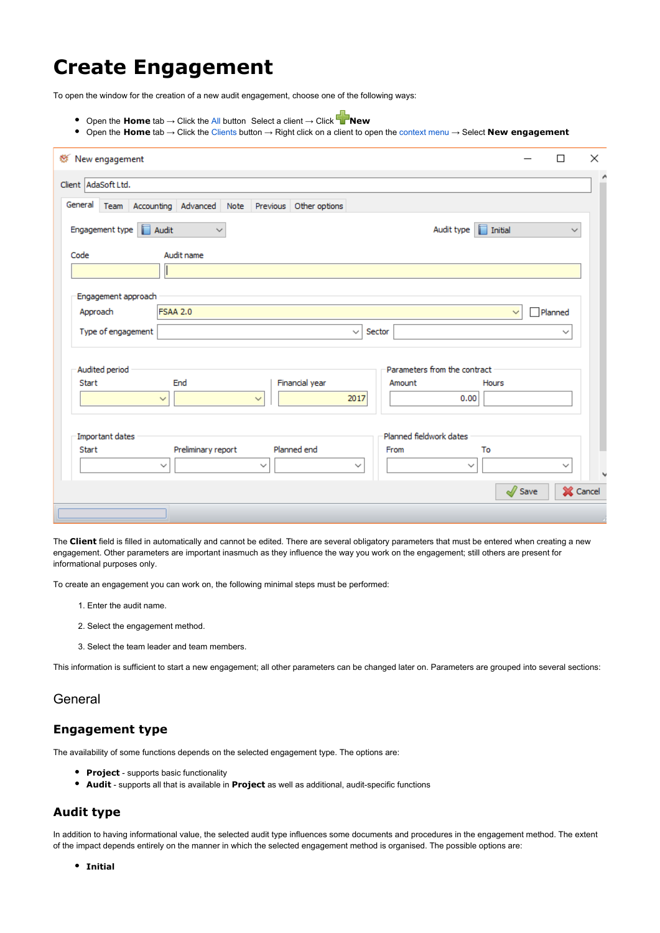# **Create Engagement**

To open the window for the creation of a new audit engagement, choose one of the following ways:

- Open the **Home** tab → Click the [All](https://help.auditdesktop.com/display/A/List+of+All+Engagements) button Select a client → Click **New**
- Open the **Home** tab → Click the [Clients](https://help.auditdesktop.com/display/A/Clients) button → Right click on a client to open the [context menu](https://help.auditdesktop.com/display/A/Context+Menu) → Select **New engagement**

| <sup>₩</sup> New engagement<br>□                                                           | × |
|--------------------------------------------------------------------------------------------|---|
| Client AdaSoft Ltd.                                                                        | ۸ |
| General<br>Team Accounting Advanced<br>Note<br>Previous Other options                      |   |
| Audit<br>$\Box$ Initial<br>Engagement type<br>Audit type  <br>$\checkmark$<br>$\checkmark$ |   |
| Audit name<br>Code                                                                         |   |
|                                                                                            |   |
| Engagement approach                                                                        |   |
| <b>FSAA 2.0</b><br>Approach<br>Planned<br>$\checkmark$                                     |   |
| Type of engagement<br>Sector<br>$\checkmark$<br>$\checkmark$                               |   |
|                                                                                            |   |
| Parameters from the contract<br>Audited period                                             |   |
| Financial year<br>Start<br>End<br>Hours<br>Amount                                          |   |
| 2017<br>0.00<br>$\checkmark$<br>$\checkmark$                                               |   |
|                                                                                            |   |
| Planned fieldwork dates<br>Important dates                                                 |   |
| Planned end<br>Preliminary report<br><b>Start</b><br>From<br>To                            |   |
| $\checkmark$<br>$\checkmark$<br>$\checkmark$<br>$\checkmark$<br>✓                          |   |
| $\sqrt{}$ Save<br>X Cancel                                                                 |   |
|                                                                                            |   |

The **Client** field is filled in automatically and cannot be edited. There are several obligatory parameters that must be entered when creating a new engagement. Other parameters are important inasmuch as they influence the way you work on the engagement; still others are present for informational purposes only.

To create an engagement you can work on, the following minimal steps must be performed:

- 1. Enter the audit name.
- 2. Select the engagement method.
- 3. Select the team leader and team members.

This information is sufficient to start a new engagement; all other parameters can be changed later on. Parameters are grouped into several sections:

### General

#### **Engagement type**

The availability of some functions depends on the selected engagement type. The options are:

- **Project** supports basic functionality
- **Audit** supports all that is available in **Project** as well as additional, audit-specific functions

#### **Audit type**

In addition to having informational value, the selected audit type influences some documents and procedures in the engagement method. The extent of the impact depends entirely on the manner in which the selected engagement method is organised. The possible options are:

**Initial**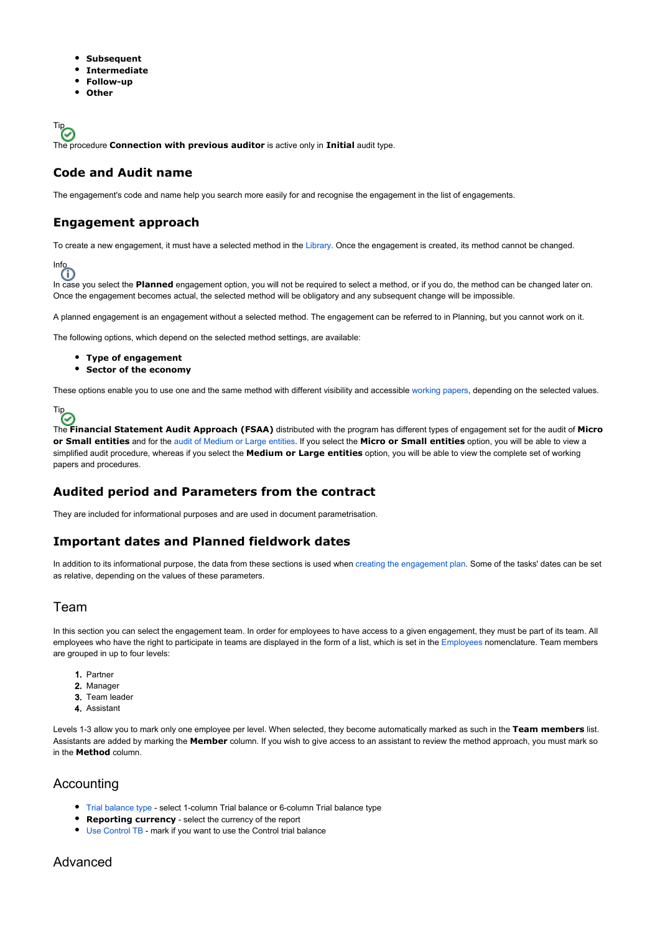- **Subsequent**  $\bullet$
- **Intermediate**
- **Follow-up**
- **Other**

Tip<sub>O</sub> The procedure **Connection with previous auditor** is active only in **Initial** audit type.

## **Code and Audit name**

The engagement's code and name help you search more easily for and recognise the engagement in the list of engagements.

# **Engagement approach**

To create a new engagement, it must have a selected method in the [Library.](https://help.auditdesktop.com/display/A/Library) Once the engagement is created, its method cannot be changed.

# Info

In case you select the **Planned** engagement option, you will not be required to select a method, or if you do, the method can be changed later on. Once the engagement becomes actual, the selected method will be obligatory and any subsequent change will be impossible.

A planned engagement is an engagement without a selected method. The engagement can be referred to in Planning, but you cannot work on it.

The following options, which depend on the selected method settings, are available:

- **Type of engagement**
- **Sector of the economy**

These options enable you to use one and the same method with different visibility and accessible [working papers,](https://help.auditdesktop.com/display/A/Working+Papers) depending on the selected values.



The **Financial Statement Audit Approach (FSAA)** distributed with the program has different types of engagement set for the audit of **Micro or Small entities** and for the [audit of Medium or Large entities](https://help.auditdesktop.com/display/A/How+to+Conduct+a+New+Audit). If you select the **Micro or Small entities** option, you will be able to view a simplified audit procedure, whereas if you select the **Medium or Large entities** option, you will be able to view the complete set of working papers and procedures.

#### **Audited period and Parameters from the contract**

They are included for informational purposes and are used in document parametrisation.

#### **Important dates and Planned fieldwork dates**

In addition to its informational purpose, the data from these sections is used when [creating the engagement plan](https://help.auditdesktop.com/display/A/Edit+Method+Project+Plan+1). Some of the tasks' dates can be set as relative, depending on the values of these parameters.

#### Team

In this section you can select the engagement team. In order for employees to have access to a given engagement, they must be part of its team. All employees who have the right to participate in teams are displayed in the form of a list, which is set in the [Employees](https://help.auditdesktop.com/display/A/Employees) nomenclature. Team members are grouped in up to four levels:

- 1. Partner
- 2. Manager
- 3. Team leader
- 4. Assistant

Levels 1-3 allow you to mark only one employee per level. When selected, they become automatically marked as such in the **Team members** list. Assistants are added by marking the **Member** column. If you wish to give access to an assistant to review the method approach, you must mark so in the **Method** column.

#### **Accounting**

- [Trial balance type](https://help.auditdesktop.com/display/A/Accounting+Settings) select 1-column Trial balance or 6-column Trial balance type
- **Reporting currency** select the currency of the report
- [Use Control TB](https://help.auditdesktop.com/display/A/Accounting+Settings) mark if you want to use the Control trial balance

#### Advanced